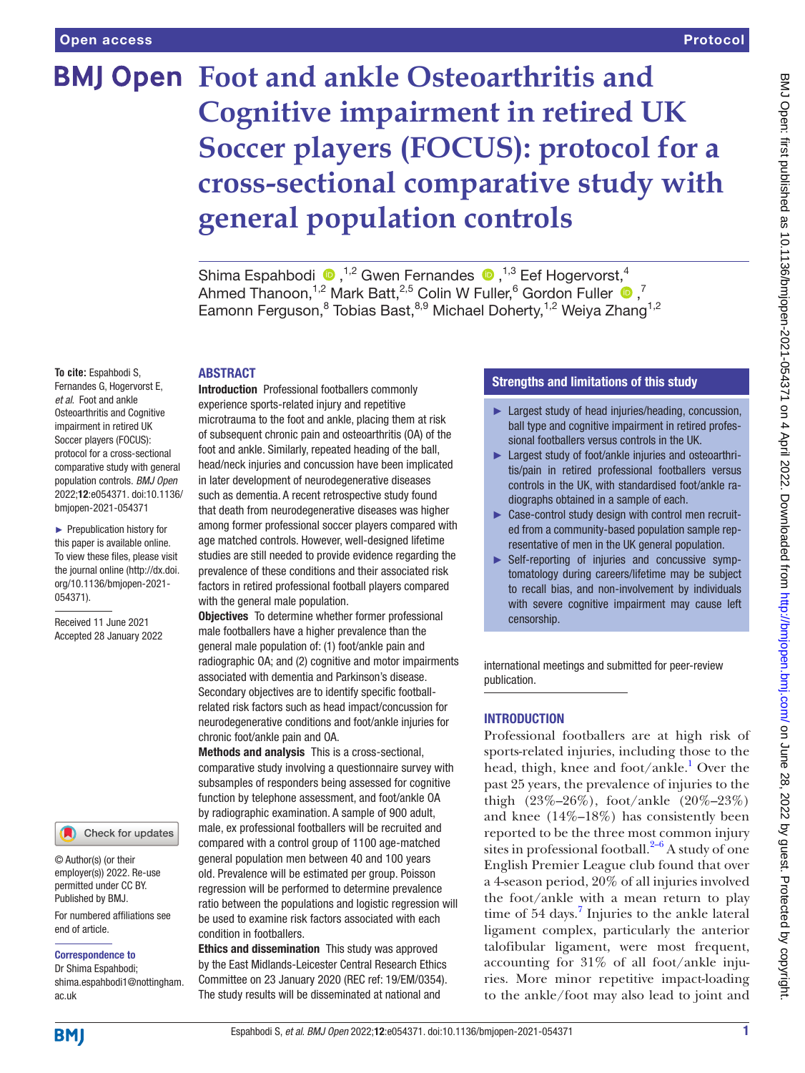# **BMJ Open Foot and ankle Osteoarthritis and Cognitive impairment in retired UK Soccer players (FOCUS): protocol for a cross-sectional comparative study with general population controls**

ShimaEspahbodi  $\bullet$ ,<sup>1,2</sup> Gwen Fernandes  $\bullet$ ,<sup>1,3</sup> Eef Hogervorst,<sup>4</sup> Ahmed Thanoon,<sup>1,2</sup> Mark Batt,<sup>2,5</sup> Colin W Fuller,<sup>6</sup> Gordon Fuller  $\bullet$ ,<sup>7</sup> Eamonn Ferguson,<sup>8</sup> Tobias Bast,<sup>8,9</sup> Michael Doherty,<sup>1,2</sup> Weiya Zhang<sup>1,2</sup>

## ABSTRACT

**To cite:** Espahbodi S, Fernandes G, Hogervorst E, *et al*. Foot and ankle Osteoarthritis and Cognitive impairment in retired UK Soccer players (FOCUS): protocol for a cross-sectional comparative study with general population controls. *BMJ Open* 2022;12:e054371. doi:10.1136/ bmjopen-2021-054371

► Prepublication history for this paper is available online. To view these files, please visit the journal online [\(http://dx.doi.](http://dx.doi.org/10.1136/bmjopen-2021-054371) [org/10.1136/bmjopen-2021-](http://dx.doi.org/10.1136/bmjopen-2021-054371) [054371\)](http://dx.doi.org/10.1136/bmjopen-2021-054371).

Received 11 June 2021 Accepted 28 January 2022



© Author(s) (or their employer(s)) 2022. Re-use permitted under CC BY. Published by BMJ.

For numbered affiliations see end of article.

#### Correspondence to

Dr Shima Espahbodi; shima.espahbodi1@nottingham. ac.uk

Introduction Professional footballers commonly experience sports-related injury and repetitive microtrauma to the foot and ankle, placing them at risk of subsequent chronic pain and osteoarthritis (OA) of the foot and ankle. Similarly, repeated heading of the ball, head/neck injuries and concussion have been implicated in later development of neurodegenerative diseases such as dementia. A recent retrospective study found that death from neurodegenerative diseases was higher among former professional soccer players compared with age matched controls. However, well-designed lifetime studies are still needed to provide evidence regarding the prevalence of these conditions and their associated risk factors in retired professional football players compared with the general male population.

Objectives To determine whether former professional male footballers have a higher prevalence than the general male population of: (1) foot/ankle pain and radiographic OA; and (2) cognitive and motor impairments associated with dementia and Parkinson's disease. Secondary objectives are to identify specific footballrelated risk factors such as head impact/concussion for neurodegenerative conditions and foot/ankle injuries for chronic foot/ankle pain and OA.

Methods and analysis This is a cross-sectional, comparative study involving a questionnaire survey with subsamples of responders being assessed for cognitive function by telephone assessment, and foot/ankle OA by radiographic examination. A sample of 900 adult, male, ex professional footballers will be recruited and compared with a control group of 1100 age-matched general population men between 40 and 100 years old. Prevalence will be estimated per group. Poisson regression will be performed to determine prevalence ratio between the populations and logistic regression will be used to examine risk factors associated with each condition in footballers.

Ethics and dissemination This study was approved by the East Midlands-Leicester Central Research Ethics Committee on 23 January 2020 (REC ref: 19/EM/0354). The study results will be disseminated at national and

# Strengths and limitations of this study

- ► Largest study of head injuries/heading, concussion, ball type and cognitive impairment in retired professional footballers versus controls in the UK.
- ► Largest study of foot/ankle injuries and osteoarthritis/pain in retired professional footballers versus controls in the UK, with standardised foot/ankle radiographs obtained in a sample of each.
- ► Case-control study design with control men recruited from a community-based population sample representative of men in the UK general population.
- ► Self-reporting of injuries and concussive symptomatology during careers/lifetime may be subject to recall bias, and non-involvement by individuals with severe cognitive impairment may cause left censorship.

international meetings and submitted for peer-review publication.

# INTRODUCTION

Professional footballers are at high risk of sports-related injuries, including those to the head, thigh, knee and foot/ankle.<sup>1</sup> Over the past 25 years, the prevalence of injuries to the thigh (23%–26%), foot/ankle (20%–23%) and knee (14%–18%) has consistently been reported to be the three most common injury sites in professional football. $2-6$  A study of one English Premier League club found that over a 4-season period, 20% of all injuries involved the foot/ankle with a mean return to play time of 54 days.<sup>[7](#page-6-2)</sup> Injuries to the ankle lateral ligament complex, particularly the anterior talofibular ligament, were most frequent, accounting for 31% of all foot/ankle injuries. More minor repetitive impact-loading to the ankle/foot may also lead to joint and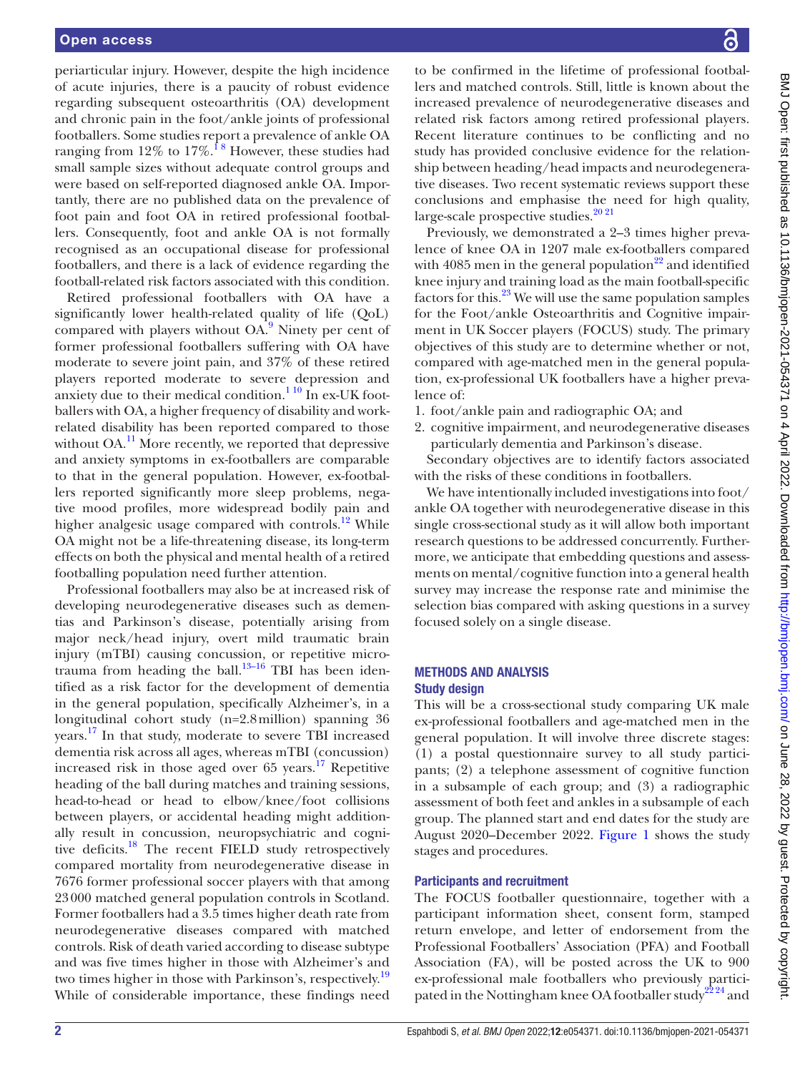periarticular injury. However, despite the high incidence of acute injuries, there is a paucity of robust evidence regarding subsequent osteoarthritis (OA) development and chronic pain in the foot/ankle joints of professional footballers. Some studies report a prevalence of ankle OA ranging from 12% to 17%.<sup>18</sup> However, these studies had small sample sizes without adequate control groups and were based on self-reported diagnosed ankle OA. Importantly, there are no published data on the prevalence of foot pain and foot OA in retired professional footballers. Consequently, foot and ankle OA is not formally recognised as an occupational disease for professional footballers, and there is a lack of evidence regarding the football-related risk factors associated with this condition.

Retired professional footballers with OA have a significantly lower health-related quality of life (QoL) compared with players without  $OA^9$  $OA^9$ . Ninety per cent of former professional footballers suffering with OA have moderate to severe joint pain, and 37% of these retired players reported moderate to severe depression and anxiety due to their medical condition. $1^{10}$  In ex-UK footballers with OA, a higher frequency of disability and workrelated disability has been reported compared to those without  $OA<sup>11</sup>$  $OA<sup>11</sup>$  $OA<sup>11</sup>$  More recently, we reported that depressive and anxiety symptoms in ex-footballers are comparable to that in the general population. However, ex-footballers reported significantly more sleep problems, negative mood profiles, more widespread bodily pain and higher analgesic usage compared with controls.<sup>[12](#page-7-1)</sup> While OA might not be a life-threatening disease, its long-term effects on both the physical and mental health of a retired footballing population need further attention.

Professional footballers may also be at increased risk of developing neurodegenerative diseases such as dementias and Parkinson's disease, potentially arising from major neck/head injury, overt mild traumatic brain injury (mTBI) causing concussion, or repetitive microtrauma from heading the ball. $13-16$  TBI has been identified as a risk factor for the development of dementia in the general population, specifically Alzheimer's, in a longitudinal cohort study (n=2.8million) spanning 36 years.<sup>17</sup> In that study, moderate to severe TBI increased dementia risk across all ages, whereas mTBI (concussion) increased risk in those aged over  $65$  years.<sup>17</sup> Repetitive heading of the ball during matches and training sessions, head-to-head or head to elbow/knee/foot collisions between players, or accidental heading might additionally result in concussion, neuropsychiatric and cognitive deficits.<sup>18</sup> The recent FIELD study retrospectively compared mortality from neurodegenerative disease in 7676 former professional soccer players with that among 23000 matched general population controls in Scotland. Former footballers had a 3.5 times higher death rate from neurodegenerative diseases compared with matched controls. Risk of death varied according to disease subtype and was five times higher in those with Alzheimer's and two times higher in those with Parkinson's, respectively.<sup>[19](#page-7-5)</sup> While of considerable importance, these findings need

to be confirmed in the lifetime of professional footballers and matched controls. Still, little is known about the increased prevalence of neurodegenerative diseases and related risk factors among retired professional players. Recent literature continues to be conflicting and no study has provided conclusive evidence for the relationship between heading/head impacts and neurodegenerative diseases. Two recent systematic reviews support these conclusions and emphasise the need for high quality, large-scale prospective studies.<sup>20 21</sup>

Previously, we demonstrated a 2–3 times higher prevalence of knee OA in 1207 male ex-footballers compared with  $4085$  men in the general population<sup>22</sup> and identified knee injury and training load as the main football-specific factors for this. $^{23}$  We will use the same population samples for the Foot/ankle Osteoarthritis and Cognitive impairment in UK Soccer players (FOCUS) study. The primary objectives of this study are to determine whether or not, compared with age-matched men in the general population, ex-professional UK footballers have a higher prevalence of:

- 1. foot/ankle pain and radiographic OA; and
- 2. cognitive impairment, and neurodegenerative diseases particularly dementia and Parkinson's disease.

Secondary objectives are to identify factors associated with the risks of these conditions in footballers.

We have intentionally included investigations into foot/ ankle OA together with neurodegenerative disease in this single cross-sectional study as it will allow both important research questions to be addressed concurrently. Furthermore, we anticipate that embedding questions and assessments on mental/cognitive function into a general health survey may increase the response rate and minimise the selection bias compared with asking questions in a survey focused solely on a single disease.

## METHODS AND ANALYSIS Study design

This will be a cross-sectional study comparing UK male ex-professional footballers and age-matched men in the general population. It will involve three discrete stages: (1) a postal questionnaire survey to all study participants; (2) a telephone assessment of cognitive function in a subsample of each group; and (3) a radiographic assessment of both feet and ankles in a subsample of each group. The planned start and end dates for the study are August 2020–December 2022. [Figure](#page-2-0) 1 shows the study stages and procedures.

# Participants and recruitment

The FOCUS footballer questionnaire, together with a participant information sheet, consent form, stamped return envelope, and letter of endorsement from the Professional Footballers' Association (PFA) and Football Association (FA), will be posted across the UK to 900 ex-professional male footballers who previously participated in the Nottingham knee OA footballer study<sup>2224</sup> and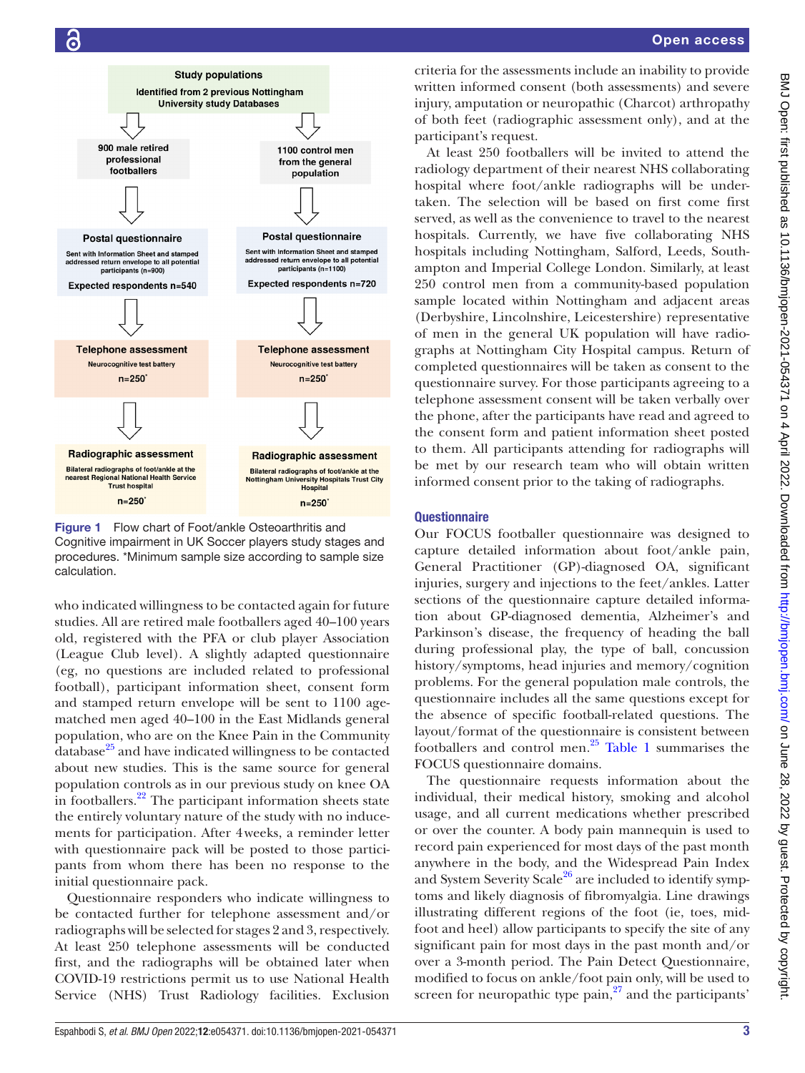

<span id="page-2-0"></span>Figure 1 Flow chart of Foot/ankle Osteoarthritis and Cognitive impairment in UK Soccer players study stages and procedures. \*Minimum sample size according to sample size calculation.

who indicated willingness to be contacted again for future studies. All are retired male footballers aged 40–100 years old, registered with the PFA or club player Association (League Club level). A slightly adapted questionnaire (eg, no questions are included related to professional football), participant information sheet, consent form and stamped return envelope will be sent to 1100 agematched men aged 40–100 in the East Midlands general population, who are on the Knee Pain in the Community  $database^{25}$  and have indicated willingness to be contacted about new studies. This is the same source for general population controls as in our previous study on knee OA in footballers.<sup>22</sup> The participant information sheets state the entirely voluntary nature of the study with no inducements for participation. After 4weeks, a reminder letter with questionnaire pack will be posted to those participants from whom there has been no response to the initial questionnaire pack.

Questionnaire responders who indicate willingness to be contacted further for telephone assessment and/or radiographs will be selected for stages 2 and 3, respectively. At least 250 telephone assessments will be conducted first, and the radiographs will be obtained later when COVID-19 restrictions permit us to use National Health Service (NHS) Trust Radiology facilities. Exclusion

criteria for the assessments include an inability to provide written informed consent (both assessments) and severe injury, amputation or neuropathic (Charcot) arthropathy of both feet (radiographic assessment only), and at the participant's request.

At least 250 footballers will be invited to attend the radiology department of their nearest NHS collaborating hospital where foot/ankle radiographs will be undertaken. The selection will be based on first come first served, as well as the convenience to travel to the nearest hospitals. Currently, we have five collaborating NHS hospitals including Nottingham, Salford, Leeds, Southampton and Imperial College London. Similarly, at least 250 control men from a community-based population sample located within Nottingham and adjacent areas (Derbyshire, Lincolnshire, Leicestershire) representative of men in the general UK population will have radiographs at Nottingham City Hospital campus. Return of completed questionnaires will be taken as consent to the questionnaire survey. For those participants agreeing to a telephone assessment consent will be taken verbally over the phone, after the participants have read and agreed to the consent form and patient information sheet posted to them. All participants attending for radiographs will be met by our research team who will obtain written informed consent prior to the taking of radiographs.

## **Questionnaire**

Our FOCUS footballer questionnaire was designed to capture detailed information about foot/ankle pain, General Practitioner (GP)-diagnosed OA, significant injuries, surgery and injections to the feet/ankles. Latter sections of the questionnaire capture detailed information about GP-diagnosed dementia, Alzheimer's and Parkinson's disease, the frequency of heading the ball during professional play, the type of ball, concussion history/symptoms, head injuries and memory/cognition problems. For the general population male controls, the questionnaire includes all the same questions except for the absence of specific football-related questions. The layout/format of the questionnaire is consistent between footballers and control men.<sup>[25](#page-7-9)</sup> [Table](#page-3-0) 1 summarises the FOCUS questionnaire domains.

The questionnaire requests information about the individual, their medical history, smoking and alcohol usage, and all current medications whether prescribed or over the counter. A body pain mannequin is used to record pain experienced for most days of the past month anywhere in the body, and the Widespread Pain Index and System Severity Scale<sup>26</sup> are included to identify symptoms and likely diagnosis of fibromyalgia. Line drawings illustrating different regions of the foot (ie, toes, midfoot and heel) allow participants to specify the site of any significant pain for most days in the past month and/or over a 3-month period. The Pain Detect Questionnaire, modified to focus on ankle/foot pain only, will be used to screen for neuropathic type pain, $27$  and the participants'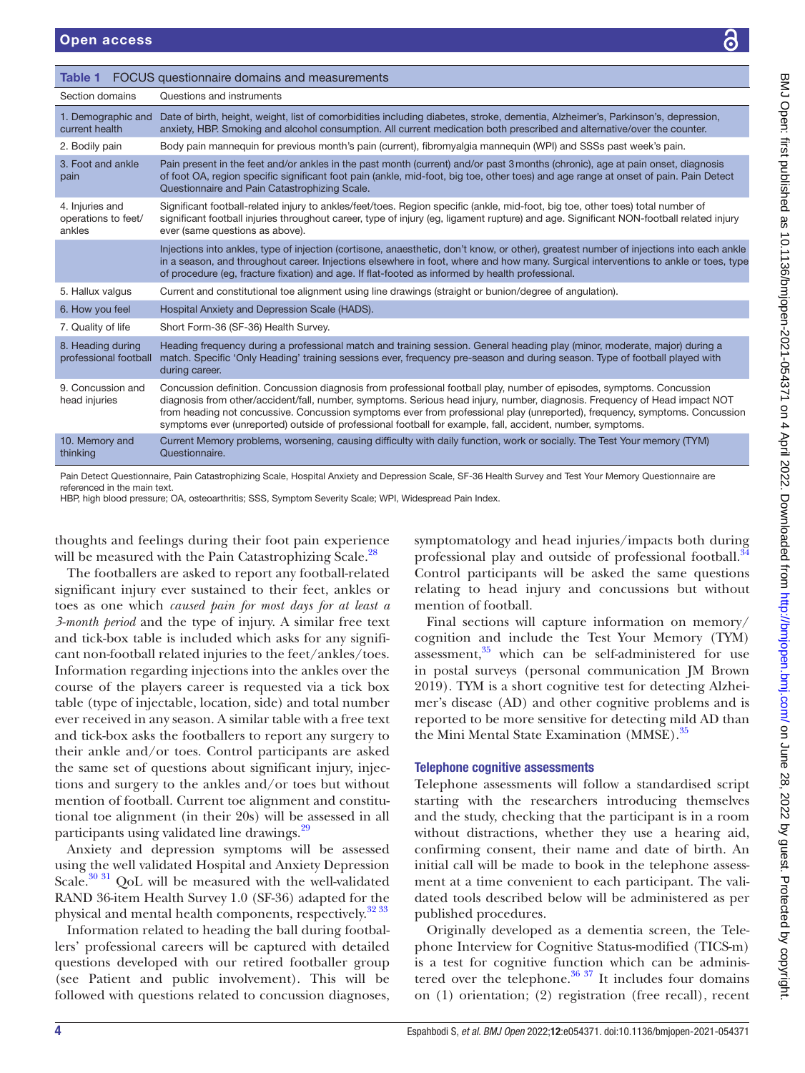<span id="page-3-0"></span>

| Table 1                                                                                                                                                                                                                                                                                                             | FOCUS questionnaire domains and measurements                                                                                                                                                                                                                                                                                                                                                                                                                                                    |                                                                                                                                                                                                                                                                                |  |
|---------------------------------------------------------------------------------------------------------------------------------------------------------------------------------------------------------------------------------------------------------------------------------------------------------------------|-------------------------------------------------------------------------------------------------------------------------------------------------------------------------------------------------------------------------------------------------------------------------------------------------------------------------------------------------------------------------------------------------------------------------------------------------------------------------------------------------|--------------------------------------------------------------------------------------------------------------------------------------------------------------------------------------------------------------------------------------------------------------------------------|--|
| Section domains                                                                                                                                                                                                                                                                                                     | Questions and instruments                                                                                                                                                                                                                                                                                                                                                                                                                                                                       |                                                                                                                                                                                                                                                                                |  |
| 1. Demographic and<br>current health                                                                                                                                                                                                                                                                                | Date of birth, height, weight, list of comorbidities including diabetes, stroke, dementia, Alzheimer's, Parkinson's, depression,<br>anxiety, HBP. Smoking and alcohol consumption. All current medication both prescribed and alternative/over the counter.                                                                                                                                                                                                                                     |                                                                                                                                                                                                                                                                                |  |
| 2. Bodily pain                                                                                                                                                                                                                                                                                                      | Body pain mannequin for previous month's pain (current), fibromyalgia mannequin (WPI) and SSSs past week's pain.                                                                                                                                                                                                                                                                                                                                                                                |                                                                                                                                                                                                                                                                                |  |
| 3. Foot and ankle<br>pain                                                                                                                                                                                                                                                                                           | Pain present in the feet and/or ankles in the past month (current) and/or past 3 months (chronic), age at pain onset, diagnosis<br>of foot OA, region specific significant foot pain (ankle, mid-foot, big toe, other toes) and age range at onset of pain. Pain Detect<br>Questionnaire and Pain Catastrophizing Scale.                                                                                                                                                                        |                                                                                                                                                                                                                                                                                |  |
| 4. Injuries and<br>operations to feet/<br>ankles                                                                                                                                                                                                                                                                    | Significant football-related injury to ankles/feet/toes. Region specific (ankle, mid-foot, big toe, other toes) total number of<br>significant football injuries throughout career, type of injury (eg, ligament rupture) and age. Significant NON-football related injury<br>ever (same questions as above).                                                                                                                                                                                   |                                                                                                                                                                                                                                                                                |  |
|                                                                                                                                                                                                                                                                                                                     | of procedure (eg, fracture fixation) and age. If flat-footed as informed by health professional.                                                                                                                                                                                                                                                                                                                                                                                                | Injections into ankles, type of injection (cortisone, anaesthetic, don't know, or other), greatest number of injections into each ankle<br>in a season, and throughout career. Injections elsewhere in foot, where and how many. Surgical interventions to ankle or toes, type |  |
| 5. Hallux valgus                                                                                                                                                                                                                                                                                                    | Current and constitutional toe alignment using line drawings (straight or bunion/degree of angulation).                                                                                                                                                                                                                                                                                                                                                                                         |                                                                                                                                                                                                                                                                                |  |
| 6. How you feel                                                                                                                                                                                                                                                                                                     | Hospital Anxiety and Depression Scale (HADS).                                                                                                                                                                                                                                                                                                                                                                                                                                                   |                                                                                                                                                                                                                                                                                |  |
| 7. Quality of life                                                                                                                                                                                                                                                                                                  | Short Form-36 (SF-36) Health Survey.                                                                                                                                                                                                                                                                                                                                                                                                                                                            |                                                                                                                                                                                                                                                                                |  |
| 8. Heading during<br>professional football                                                                                                                                                                                                                                                                          | Heading frequency during a professional match and training session. General heading play (minor, moderate, major) during a<br>match. Specific 'Only Heading' training sessions ever, frequency pre-season and during season. Type of football played with<br>during career.                                                                                                                                                                                                                     |                                                                                                                                                                                                                                                                                |  |
| 9. Concussion and<br>head injuries                                                                                                                                                                                                                                                                                  | Concussion definition. Concussion diagnosis from professional football play, number of episodes, symptoms. Concussion<br>diagnosis from other/accident/fall, number, symptoms. Serious head injury, number, diagnosis. Frequency of Head impact NOT<br>from heading not concussive. Concussion symptoms ever from professional play (unreported), frequency, symptoms. Concussion<br>symptoms ever (unreported) outside of professional football for example, fall, accident, number, symptoms. |                                                                                                                                                                                                                                                                                |  |
| 10. Memory and<br>thinking                                                                                                                                                                                                                                                                                          | Current Memory problems, worsening, causing difficulty with daily function, work or socially. The Test Your memory (TYM)<br>Questionnaire.                                                                                                                                                                                                                                                                                                                                                      |                                                                                                                                                                                                                                                                                |  |
| referenced in the main text.                                                                                                                                                                                                                                                                                        | HBP, high blood pressure; OA, osteoarthritis; SSS, Symptom Severity Scale; WPI, Widespread Pain Index.                                                                                                                                                                                                                                                                                                                                                                                          | Pain Detect Questionnaire, Pain Catastrophizing Scale, Hospital Anxiety and Depression Scale, SF-36 Health Survey and Test Your Memory Questionnaire are                                                                                                                       |  |
|                                                                                                                                                                                                                                                                                                                     |                                                                                                                                                                                                                                                                                                                                                                                                                                                                                                 |                                                                                                                                                                                                                                                                                |  |
| houghts and feelings during their foot pain experience<br>vill be measured with the Pain Catastrophizing Scale. <sup>28</sup><br>The footballers are asked to report any football-related<br>ignificant injury ever sustained to their feet, ankles or<br>oes as one which caused pain for most days for at least a |                                                                                                                                                                                                                                                                                                                                                                                                                                                                                                 | symptomatology and head injuries/impacts both during<br>professional play and outside of professional football. <sup>34</sup><br>Control participants will be asked the same questions<br>relating to head injury and concussions but without<br>mention of football.          |  |
|                                                                                                                                                                                                                                                                                                                     | $\mathbf{C}$ and the contract of $\mathbf{C}$ and $\mathbf{C}$ and $\mathbf{C}$ and $\mathbf{C}$ and $\mathbf{C}$ and $\mathbf{C}$ and $\mathbf{C}$ and $\mathbf{C}$ and $\mathbf{C}$ and $\mathbf{C}$ and $\mathbf{C}$ and $\mathbf{C}$ and $\mathbf{C}$ and $\mathbf{C}$ and $\mathbf{C}$ a                                                                                                                                                                                                   | $\mathbf{E}^*$ and $\mathbf{E}^*$ are so that $\mathbf{E}^*$ are the set of $\mathbf{E}$ and $\mathbf{E}^*$ are the set of $\mathbf{E}^*$                                                                                                                                      |  |

Final sections will capture information on memory/ cognition and include the Test Your Memory (TYM) assessment, $35$  which can be self-administered for use in postal surveys (personal communication JM Brown 2019). TYM is a short cognitive test for detecting Alzheimer's disease (AD) and other cognitive problems and is reported to be more sensitive for detecting mild AD than the Mini Mental State Examination (MMSE).<sup>[35](#page-7-17)</sup>

# Telephone cognitive assessments

Telephone assessments will follow a standardised script starting with the researchers introducing themselves and the study, checking that the participant is in a room without distractions, whether they use a hearing aid, confirming consent, their name and date of birth. An initial call will be made to book in the telephone assessment at a time convenient to each participant. The validated tools described below will be administered as per published procedures.

Originally developed as a dementia screen, the Telephone Interview for Cognitive Status-modified (TICS-m) is a test for cognitive function which can be administered over the telephone. $36 \frac{37}{11}$  It includes four domains on (1) orientation; (2) registration (free recall), recent

| 2. Bodily pain                                   | Body pain mannequin for previous month's pain (current), fibromyalgia mannequin (WPI) and SSSs past week's pain.                                                                                                                                                                                                                                                                                                                                                                                |  |
|--------------------------------------------------|-------------------------------------------------------------------------------------------------------------------------------------------------------------------------------------------------------------------------------------------------------------------------------------------------------------------------------------------------------------------------------------------------------------------------------------------------------------------------------------------------|--|
| 3. Foot and ankle<br>pain                        | Pain present in the feet and/or ankles in the past month (current) and/or past 3 months (chronic), age at pain onset, diagnosis<br>of foot OA, region specific significant foot pain (ankle, mid-foot, big toe, other toes) and age range at onset of pain. Pain Detect<br>Questionnaire and Pain Catastrophizing Scale.                                                                                                                                                                        |  |
| 4. Injuries and<br>operations to feet/<br>ankles | Significant football-related injury to ankles/feet/toes. Region specific (ankle, mid-foot, big toe, other toes) total number of<br>significant football injuries throughout career, type of injury (eg, ligament rupture) and age. Significant NON-football related injury<br>ever (same questions as above).                                                                                                                                                                                   |  |
|                                                  | Injections into ankles, type of injection (cortisone, anaesthetic, don't know, or other), greatest number of injections into each ankle<br>in a season, and throughout career. Injections elsewhere in foot, where and how many. Surgical interventions to ankle or toes, type<br>of procedure (eg, fracture fixation) and age. If flat-footed as informed by health professional.                                                                                                              |  |
| 5. Hallux valgus                                 | Current and constitutional toe alignment using line drawings (straight or bunion/degree of angulation).                                                                                                                                                                                                                                                                                                                                                                                         |  |
| 6. How you feel                                  | Hospital Anxiety and Depression Scale (HADS).                                                                                                                                                                                                                                                                                                                                                                                                                                                   |  |
| 7. Quality of life                               | Short Form-36 (SF-36) Health Survey.                                                                                                                                                                                                                                                                                                                                                                                                                                                            |  |
| 8. Heading during<br>professional football       | Heading frequency during a professional match and training session. General heading play (minor, moderate, major) during a<br>match. Specific 'Only Heading' training sessions ever, frequency pre-season and during season. Type of football played with<br>during career.                                                                                                                                                                                                                     |  |
| 9. Concussion and<br>head injuries               | Concussion definition. Concussion diagnosis from professional football play, number of episodes, symptoms. Concussion<br>diagnosis from other/accident/fall, number, symptoms. Serious head injury, number, diagnosis. Frequency of Head impact NOT<br>from heading not concussive. Concussion symptoms ever from professional play (unreported), frequency, symptoms. Concussion<br>symptoms ever (unreported) outside of professional football for example, fall, accident, number, symptoms. |  |
| 10. Memory and<br>thinking                       | Current Memory problems, worsening, causing difficulty with daily function, work or socially. The Test Your memory (TYM)<br>Questionnaire.                                                                                                                                                                                                                                                                                                                                                      |  |
|                                                  |                                                                                                                                                                                                                                                                                                                                                                                                                                                                                                 |  |

The footballers are asked to report any football-related significant injury ever sustained to their feet, ankles or toes as one which *caused pain for most days for at least a 3-month period* and the type of injury. A similar free text and tick-box table is included which asks for any significant non-football related injuries to the feet/ankles/toes. Information regarding injections into the ankles over the course of the players career is requested via a tick box table (type of injectable, location, side) and total number ever received in any season. A similar table with a free text and tick-box asks the footballers to report any surgery to their ankle and/or toes. Control participants are asked the same set of questions about significant injury, injections and surgery to the ankles and/or toes but without mention of football. Current toe alignment and constitutional toe alignment (in their 20s) will be assessed in all participants using validated line drawings.<sup>[29](#page-7-13)</sup>

Anxiety and depression symptoms will be assessed using the well validated Hospital and Anxiety Depression Scale.<sup>30 31</sup> QoL will be measured with the well-validated RAND 36-item Health Survey 1.0 (SF-36) adapted for the physical and mental health components, respectively.<sup>[32 33](#page-7-15)</sup>

Information related to heading the ball during footballers' professional careers will be captured with detailed questions developed with our retired footballer group (see Patient and public involvement). This will be followed with questions related to concussion diagnoses,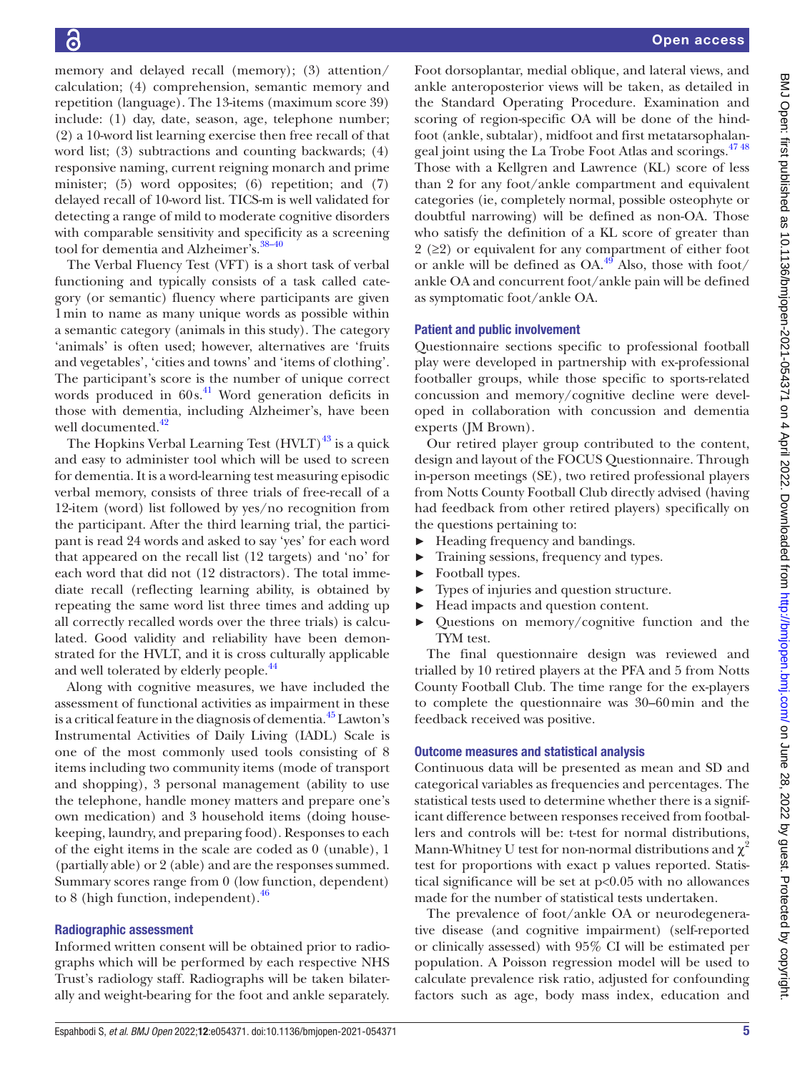memory and delayed recall (memory); (3) attention/ calculation; (4) comprehension, semantic memory and repetition (language). The 13-items (maximum score 39) include: (1) day, date, season, age, telephone number; (2) a 10-word list learning exercise then free recall of that word list; (3) subtractions and counting backwards; (4) responsive naming, current reigning monarch and prime minister; (5) word opposites; (6) repetition; and (7) delayed recall of 10-word list. TICS-m is well validated for detecting a range of mild to moderate cognitive disorders with comparable sensitivity and specificity as a screening tool for dementia and Alzheimer's. [38–40](#page-7-19)

The Verbal Fluency Test (VFT) is a short task of verbal functioning and typically consists of a task called category (or semantic) fluency where participants are given 1min to name as many unique words as possible within a semantic category (animals in this study). The category 'animals' is often used; however, alternatives are 'fruits and vegetables', 'cities and towns' and 'items of clothing'. The participant's score is the number of unique correct words produced in 60s. [41](#page-7-20) Word generation deficits in those with dementia, including Alzheimer's, have been well documented.<sup>[42](#page-7-21)</sup>

The Hopkins Verbal Learning Test  $(HVLT)^{43}$  $(HVLT)^{43}$  $(HVLT)^{43}$  is a quick and easy to administer tool which will be used to screen for dementia. It is a word-learning test measuring episodic verbal memory, consists of three trials of free-recall of a 12-item (word) list followed by yes/no recognition from the participant. After the third learning trial, the participant is read 24 words and asked to say 'yes' for each word that appeared on the recall list (12 targets) and 'no' for each word that did not (12 distractors). The total immediate recall (reflecting learning ability, is obtained by repeating the same word list three times and adding up all correctly recalled words over the three trials) is calculated. Good validity and reliability have been demonstrated for the HVLT, and it is cross culturally applicable and well tolerated by elderly people.<sup>44</sup>

Along with cognitive measures, we have included the assessment of functional activities as impairment in these is a critical feature in the diagnosis of dementia[.45](#page-7-24) Lawton's Instrumental Activities of Daily Living (IADL) Scale is one of the most commonly used tools consisting of 8 items including two community items (mode of transport and shopping), 3 personal management (ability to use the telephone, handle money matters and prepare one's own medication) and 3 household items (doing housekeeping, laundry, and preparing food). Responses to each of the eight items in the scale are coded as 0 (unable), 1 (partially able) or 2 (able) and are the responses summed. Summary scores range from 0 (low function, dependent) to 8 (high function, independent). $46$ 

#### Radiographic assessment

Informed written consent will be obtained prior to radiographs which will be performed by each respective NHS Trust's radiology staff. Radiographs will be taken bilaterally and weight-bearing for the foot and ankle separately.

Foot dorsoplantar, medial oblique, and lateral views, and ankle anteroposterior views will be taken, as detailed in the Standard Operating Procedure. Examination and scoring of region-specific OA will be done of the hindfoot (ankle, subtalar), midfoot and first metatarsophalangeal joint using the La Trobe Foot Atlas and scorings.<sup>4748</sup> Those with a Kellgren and Lawrence (KL) score of less than 2 for any foot/ankle compartment and equivalent categories (ie, completely normal, possible osteophyte or doubtful narrowing) will be defined as non-OA. Those who satisfy the definition of a KL score of greater than 2 ( $\geq$ 2) or equivalent for any compartment of either foot or ankle will be defined as  $OA<sup>49</sup>$  Also, those with foot/ ankle OA and concurrent foot/ankle pain will be defined as symptomatic foot/ankle OA.

## Patient and public involvement

Questionnaire sections specific to professional football play were developed in partnership with ex-professional footballer groups, while those specific to sports-related concussion and memory/cognitive decline were developed in collaboration with concussion and dementia experts (JM Brown).

Our retired player group contributed to the content, design and layout of the FOCUS Questionnaire. Through in-person meetings (SE), two retired professional players from Notts County Football Club directly advised (having had feedback from other retired players) specifically on the questions pertaining to:

- ► Heading frequency and bandings.
- ► Training sessions, frequency and types.
- ► Football types.
- ► Types of injuries and question structure.
- ► Head impacts and question content.
- ► Questions on memory/cognitive function and the TYM test.

The final questionnaire design was reviewed and trialled by 10 retired players at the PFA and 5 from Notts County Football Club. The time range for the ex-players to complete the questionnaire was 30–60min and the feedback received was positive.

# Outcome measures and statistical analysis

Continuous data will be presented as mean and SD and categorical variables as frequencies and percentages. The statistical tests used to determine whether there is a significant difference between responses received from footballers and controls will be: t-test for normal distributions, Mann-Whitney U test for non-normal distributions and  $\chi^2$ test for proportions with exact p values reported. Statistical significance will be set at p<0.05 with no allowances made for the number of statistical tests undertaken.

The prevalence of foot/ankle OA or neurodegenerative disease (and cognitive impairment) (self-reported or clinically assessed) with 95% CI will be estimated per population. A Poisson regression model will be used to calculate prevalence risk ratio, adjusted for confounding factors such as age, body mass index, education and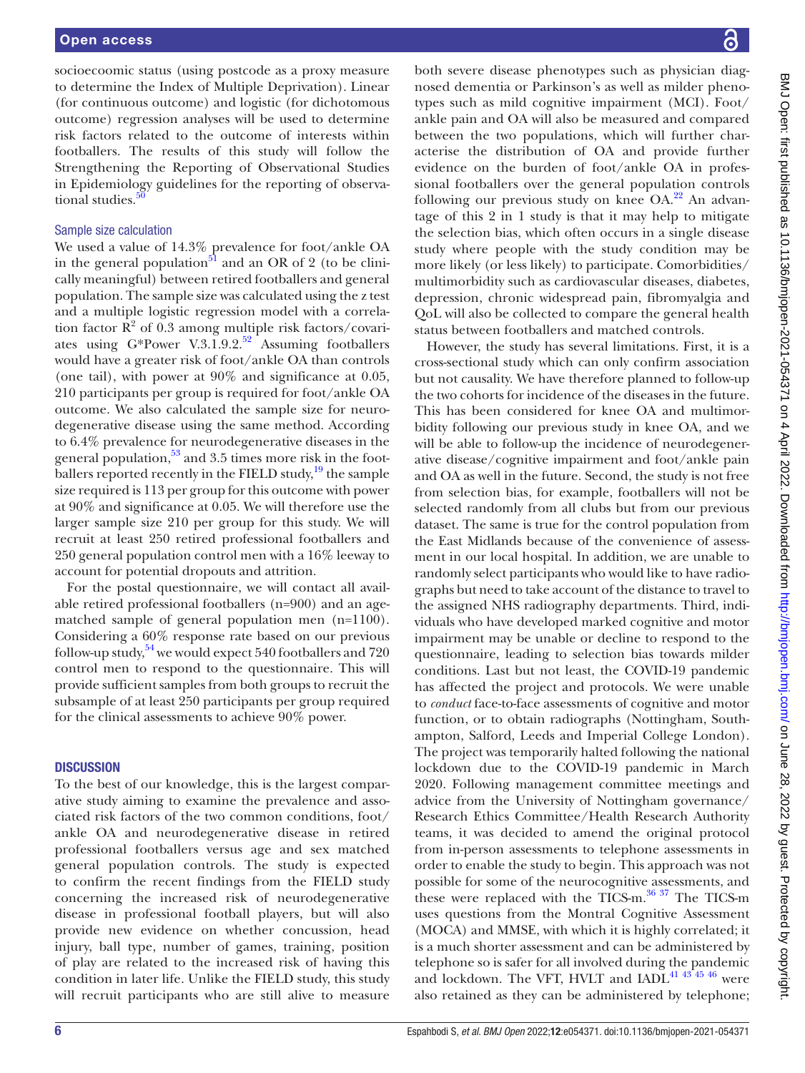socioecoomic status (using postcode as a proxy measure to determine the Index of Multiple Deprivation). Linear (for continuous outcome) and logistic (for dichotomous outcome) regression analyses will be used to determine risk factors related to the outcome of interests within footballers. The results of this study will follow the Strengthening the Reporting of Observational Studies in Epidemiology guidelines for the reporting of observational studies.<sup>5</sup>

#### Sample size calculation

We used a value of 14.3% prevalence for foot/ankle OA in the general population<sup>51</sup> and an OR of 2 (to be clinically meaningful) between retired footballers and general population. The sample size was calculated using the z test and a multiple logistic regression model with a correlation factor  $\mathbb{R}^2$  of 0.3 among multiple risk factors/covariates using G\*Power V.3.1.9.2.<sup>52</sup> Assuming footballers would have a greater risk of foot/ankle OA than controls (one tail), with power at 90% and significance at 0.05, 210 participants per group is required for foot/ankle OA outcome. We also calculated the sample size for neurodegenerative disease using the same method. According to 6.4% prevalence for neurodegenerative diseases in the general population, $53$  and 3.5 times more risk in the footballers reported recently in the FIELD study, $^{19}$  the sample size required is 113 per group for this outcome with power at 90% and significance at 0.05. We will therefore use the larger sample size 210 per group for this study. We will recruit at least 250 retired professional footballers and 250 general population control men with a 16% leeway to account for potential dropouts and attrition.

For the postal questionnaire, we will contact all available retired professional footballers (n=900) and an agematched sample of general population men (n=1100). Considering a 60% response rate based on our previous follow-up study,  $54$  we would expect 540 footballers and 720 control men to respond to the questionnaire. This will provide sufficient samples from both groups to recruit the subsample of at least 250 participants per group required for the clinical assessments to achieve 90% power.

# **DISCUSSION**

To the best of our knowledge, this is the largest comparative study aiming to examine the prevalence and associated risk factors of the two common conditions, foot/ ankle OA and neurodegenerative disease in retired professional footballers versus age and sex matched general population controls. The study is expected to confirm the recent findings from the FIELD study concerning the increased risk of neurodegenerative disease in professional football players, but will also provide new evidence on whether concussion, head injury, ball type, number of games, training, position of play are related to the increased risk of having this condition in later life. Unlike the FIELD study, this study will recruit participants who are still alive to measure

both severe disease phenotypes such as physician diagnosed dementia or Parkinson's as well as milder phenotypes such as mild cognitive impairment (MCI). Foot/ ankle pain and OA will also be measured and compared between the two populations, which will further characterise the distribution of OA and provide further evidence on the burden of foot/ankle OA in professional footballers over the general population controls following our previous study on knee  $OA<sup>22</sup>$  An advantage of this 2 in 1 study is that it may help to mitigate the selection bias, which often occurs in a single disease study where people with the study condition may be more likely (or less likely) to participate. Comorbidities/ multimorbidity such as cardiovascular diseases, diabetes, depression, chronic widespread pain, fibromyalgia and QoL will also be collected to compare the general health status between footballers and matched controls.

However, the study has several limitations. First, it is a cross-sectional study which can only confirm association but not causality. We have therefore planned to follow-up the two cohorts for incidence of the diseases in the future. This has been considered for knee OA and multimorbidity following our previous study in knee OA, and we will be able to follow-up the incidence of neurodegenerative disease/cognitive impairment and foot/ankle pain and OA as well in the future. Second, the study is not free from selection bias, for example, footballers will not be selected randomly from all clubs but from our previous dataset. The same is true for the control population from the East Midlands because of the convenience of assessment in our local hospital. In addition, we are unable to randomly select participants who would like to have radiographs but need to take account of the distance to travel to the assigned NHS radiography departments. Third, individuals who have developed marked cognitive and motor impairment may be unable or decline to respond to the questionnaire, leading to selection bias towards milder conditions. Last but not least, the COVID-19 pandemic has affected the project and protocols. We were unable to *conduct* face-to-face assessments of cognitive and motor function, or to obtain radiographs (Nottingham, Southampton, Salford, Leeds and Imperial College London). The project was temporarily halted following the national lockdown due to the COVID-19 pandemic in March 2020. Following management committee meetings and advice from the University of Nottingham governance/ Research Ethics Committee/Health Research Authority teams, it was decided to amend the original protocol from in-person assessments to telephone assessments in order to enable the study to begin. This approach was not possible for some of the neurocognitive assessments, and these were replaced with the TICS-m.<sup>[36 37](#page-7-18)</sup> The TICS-m uses questions from the Montral Cognitive Assessment (MOCA) and MMSE, with which it is highly correlated; it is a much shorter assessment and can be administered by telephone so is safer for all involved during the pandemic and lockdown. The VFT, HVLT and IADL<sup>41 43 45</sup> 46 were also retained as they can be administered by telephone;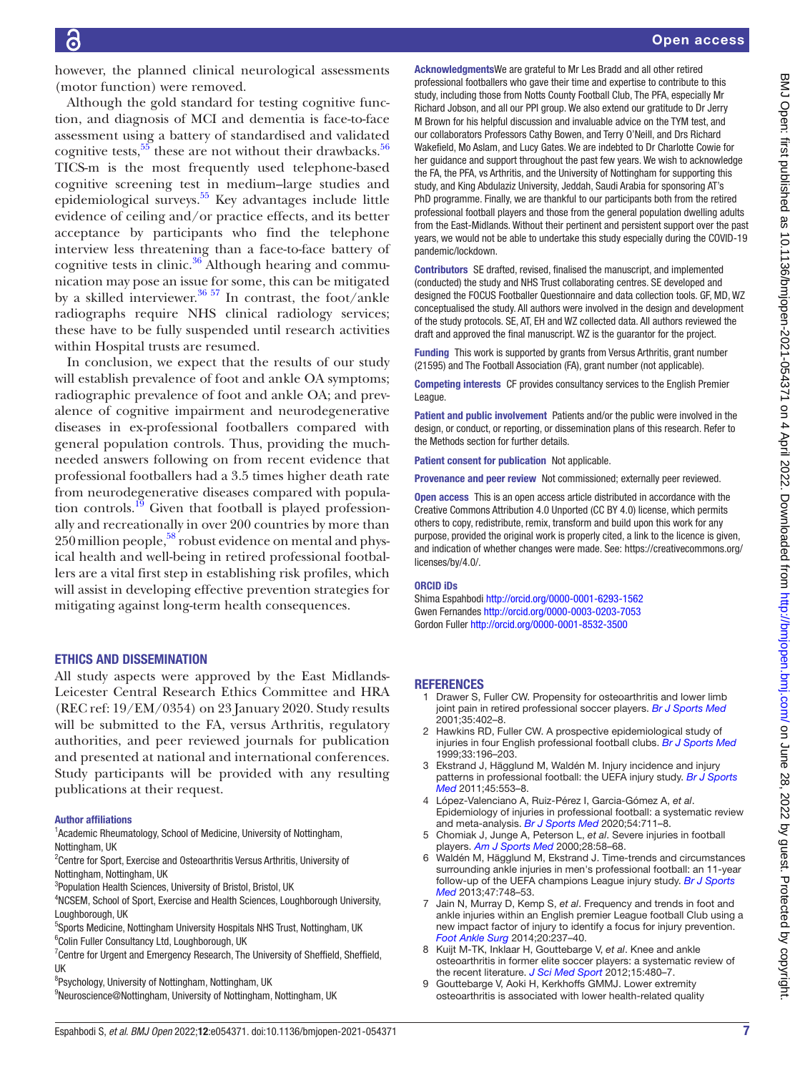however, the planned clinical neurological assessments (motor function) were removed.

Although the gold standard for testing cognitive function, and diagnosis of MCI and dementia is face-to-face assessment using a battery of standardised and validated cognitive tests,  $55$  these are not without their drawbacks.  $56$ TICS-m is the most frequently used telephone-based cognitive screening test in medium–large studies and epidemiological surveys. [55](#page-7-33) Key advantages include little evidence of ceiling and/or practice effects, and its better acceptance by participants who find the telephone interview less threatening than a face-to-face battery of cognitive tests in clinic.<sup>36</sup> Although hearing and communication may pose an issue for some, this can be mitigated by a skilled interviewer.<sup>36 57</sup> In contrast, the foot/ankle radiographs require NHS clinical radiology services; these have to be fully suspended until research activities within Hospital trusts are resumed.

In conclusion, we expect that the results of our study will establish prevalence of foot and ankle OA symptoms; radiographic prevalence of foot and ankle OA; and prevalence of cognitive impairment and neurodegenerative diseases in ex-professional footballers compared with general population controls. Thus, providing the muchneeded answers following on from recent evidence that professional footballers had a 3.5 times higher death rate from neurodegenerative diseases compared with population controls.<sup>19</sup> Given that football is played professionally and recreationally in over 200 countries by more than  $250$  million people,<sup>58</sup> robust evidence on mental and physical health and well-being in retired professional footballers are a vital first step in establishing risk profiles, which will assist in developing effective prevention strategies for mitigating against long-term health consequences.

#### ETHICS AND DISSEMINATION

All study aspects were approved by the East Midlands-Leicester Central Research Ethics Committee and HRA (REC ref: 19/EM/0354) on 23 January 2020. Study results will be submitted to the FA, versus Arthritis, regulatory authorities, and peer reviewed journals for publication and presented at national and international conferences. Study participants will be provided with any resulting publications at their request.

#### Author affiliations

<sup>1</sup> Academic Rheumatology, School of Medicine, University of Nottingham, Nottingham, UK

<sup>2</sup> Centre for Sport, Exercise and Osteoarthritis Versus Arthritis, University of Nottingham, Nottingham, UK

<sup>3</sup>Population Health Sciences, University of Bristol, Bristol, UK

4 NCSEM, School of Sport, Exercise and Health Sciences, Loughborough University, Loughborough, UK

<sup>5</sup>Sports Medicine, Nottingham University Hospitals NHS Trust, Nottingham, UK <sup>6</sup>Colin Fuller Consultancy Ltd, Loughborough, UK

 $7$ Centre for Urgent and Emergency Research, The University of Sheffield, Sheffield, UK

9 Neuroscience@Nottingham, University of Nottingham, Nottingham, UK

AcknowledgmentsWe are grateful to Mr Les Bradd and all other retired professional footballers who gave their time and expertise to contribute to this study, including those from Notts County Football Club, The PFA, especially Mr Richard Jobson, and all our PPI group. We also extend our gratitude to Dr Jerry M Brown for his helpful discussion and invaluable advice on the TYM test, and our collaborators Professors Cathy Bowen, and Terry O'Neill, and Drs Richard Wakefield, Mo Aslam, and Lucy Gates. We are indebted to Dr Charlotte Cowie for her guidance and support throughout the past few years. We wish to acknowledge the FA, the PFA, vs Arthritis, and the University of Nottingham for supporting this study, and King Abdulaziz University, Jeddah, Saudi Arabia for sponsoring AT's PhD programme. Finally, we are thankful to our participants both from the retired professional football players and those from the general population dwelling adults from the East-Midlands. Without their pertinent and persistent support over the past years, we would not be able to undertake this study especially during the COVID-19 pandemic/lockdown.

Contributors SE drafted, revised, finalised the manuscript, and implemented (conducted) the study and NHS Trust collaborating centres. SE developed and designed the FOCUS Footballer Questionnaire and data collection tools. GF, MD, WZ conceptualised the study. All authors were involved in the design and development of the study protocols. SE, AT, EH and WZ collected data. All authors reviewed the draft and approved the final manuscript. WZ is the guarantor for the project.

Funding This work is supported by grants from Versus Arthritis, grant number (21595) and The Football Association (FA), grant number (not applicable).

Competing interests CF provides consultancy services to the English Premier League.

Patient and public involvement Patients and/or the public were involved in the design, or conduct, or reporting, or dissemination plans of this research. Refer to the Methods section for further details.

Patient consent for publication Not applicable.

Provenance and peer review Not commissioned; externally peer reviewed.

Open access This is an open access article distributed in accordance with the Creative Commons Attribution 4.0 Unported (CC BY 4.0) license, which permits others to copy, redistribute, remix, transform and build upon this work for any purpose, provided the original work is properly cited, a link to the licence is given, and indication of whether changes were made. See: [https://creativecommons.org/](https://creativecommons.org/licenses/by/4.0/) [licenses/by/4.0/](https://creativecommons.org/licenses/by/4.0/).

#### ORCID iDs

Shima Espahbodi <http://orcid.org/0000-0001-6293-1562> Gwen Fernandes<http://orcid.org/0000-0003-0203-7053> Gordon Fuller<http://orcid.org/0000-0001-8532-3500>

#### <span id="page-6-0"></span>**REFERENCES**

- 1 Drawer S, Fuller CW. Propensity for osteoarthritis and lower limb joint pain in retired professional soccer players. *[Br J Sports Med](http://dx.doi.org/10.1136/bjsm.35.6.402)* 2001;35:402–8.
- <span id="page-6-1"></span>2 Hawkins RD, Fuller CW. A prospective epidemiological study of injuries in four English professional football clubs. *[Br J Sports Med](http://dx.doi.org/10.1136/bjsm.33.3.196)* 1999;33:196–203.
- 3 Ekstrand J, Hägglund M, Waldén M. Injury incidence and injury patterns in professional football: the UEFA injury study. *[Br J Sports](http://dx.doi.org/10.1136/bjsm.2009.060582)  [Med](http://dx.doi.org/10.1136/bjsm.2009.060582)* 2011;45:553–8.
- 4 López-Valenciano A, Ruiz-Pérez I, Garcia-Gómez A, *et al*. Epidemiology of injuries in professional football: a systematic review and meta-analysis. *[Br J Sports Med](http://dx.doi.org/10.1136/bjsports-2018-099577)* 2020;54:711–8.
- 5 Chomiak J, Junge A, Peterson L, *et al*. Severe injuries in football players. *[Am J Sports Med](http://dx.doi.org/10.1177/28.suppl_5.s-58)* 2000;28:58–68.
- 6 Waldén M, Hägglund M, Ekstrand J. Time-trends and circumstances surrounding ankle injuries in men's professional football: an 11-year follow-up of the UEFA champions League injury study. *[Br J Sports](http://dx.doi.org/10.1136/bjsports-2013-092223)  [Med](http://dx.doi.org/10.1136/bjsports-2013-092223)* 2013;47:748–53.
- <span id="page-6-2"></span>7 Jain N, Murray D, Kemp S, *et al*. Frequency and trends in foot and ankle injuries within an English premier League football Club using a new impact factor of injury to identify a focus for injury prevention. *[Foot Ankle Surg](http://dx.doi.org/10.1016/j.fas.2014.05.004)* 2014;20:237–40.
- 8 Kuijt M-TK, Inklaar H, Gouttebarge V, *et al*. Knee and ankle osteoarthritis in former elite soccer players: a systematic review of the recent literature. *[J Sci Med Sport](http://dx.doi.org/10.1016/j.jsams.2012.02.008)* 2012;15:480–7.
- <span id="page-6-3"></span>9 Gouttebarge V, Aoki H, Kerkhoffs GMMJ. Lower extremity osteoarthritis is associated with lower health-related quality

<sup>&</sup>lt;sup>8</sup>Psychology, University of Nottingham, Nottingham, UK